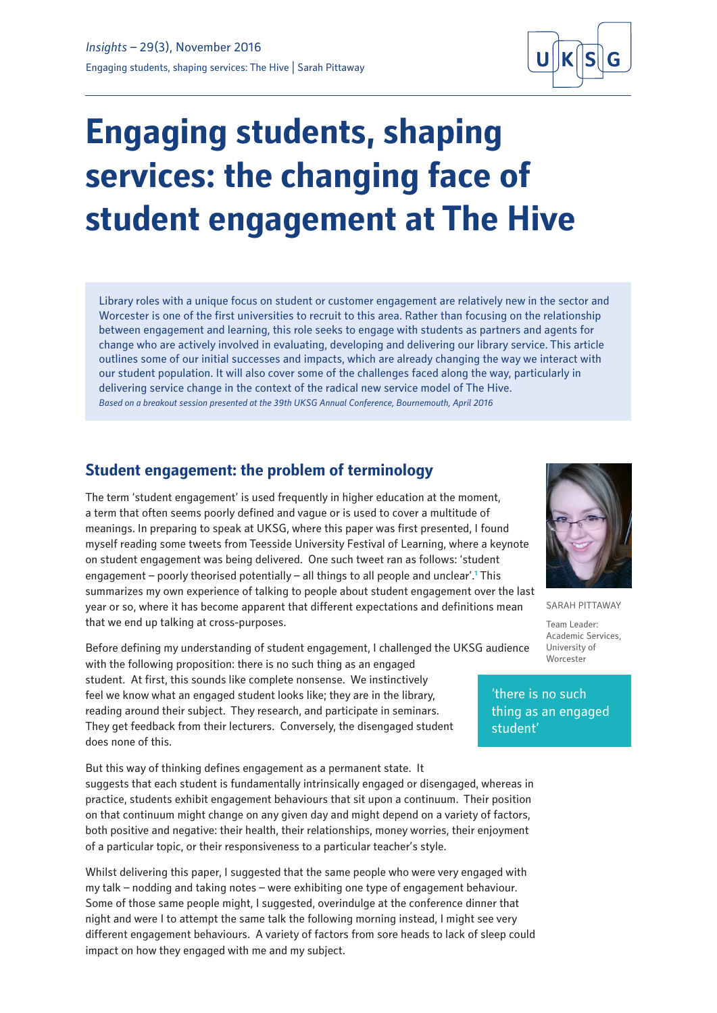

# **Engaging students, shaping services: the changing face of student engagement at The Hive**

Library roles with a unique focus on student or customer engagement are relatively new in the sector and Worcester is one of the first universities to recruit to this area. Rather than focusing on the relationship between engagement and learning, this role seeks to engage with students as partners and agents for change who are actively involved in evaluating, developing and delivering our library service. This article outlines some of our initial successes and impacts, which are already changing the way we interact with our student population. It will also cover some of the challenges faced along the way, particularly in delivering service change in the context of the radical new service model of The Hive. *Based on a breakout session presented at the 39th UKSG Annual Conference, Bournemouth, April 2016*

# **Student engagement: the problem of terminology**

The term 'student engagement' is used frequently in higher education at the moment, a term that often seems poorly defined and vague or is used to cover a multitude of meanings. In preparing to speak at UKSG, where this paper was first presented, I found myself reading some tweets from Teesside University Festival of Learning, where a keynote on student engagement was being delivered. One such tweet ran as follows: 'student engagement – poorly theorised potentially – all things to all people and unclear'.<sup>1</sup> This summarizes my own experience of talking to people about student engagement over the last year or so, where it has become apparent that different expectations and definitions mean that we end up talking at cross-purposes.

Before defining my understanding of student engagement, I challenged the UKSG audience with the following proposition: there is no such thing as an engaged student. At first, this sounds like complete nonsense. We instinctively feel we know what an engaged student looks like; they are in the library, reading around their subject. They research, and participate in seminars. They get feedback from their lecturers. Conversely, the disengaged student does none of this.

But this way of thinking defines engagement as a permanent state. It suggests that each student is fundamentally intrinsically engaged or disengaged, whereas in practice, students exhibit engagement behaviours that sit upon a continuum. Their position on that continuum might change on any given day and might depend on a variety of factors, both positive and negative: their health, their relationships, money worries, their enjoyment of a particular topic, or their responsiveness to a particular teacher's style.

Whilst delivering this paper, I suggested that the same people who were very engaged with my talk – nodding and taking notes – were exhibiting one type of engagement behaviour. Some of those same people might, I suggested, overindulge at the conference dinner that night and were I to attempt the same talk the following morning instead, I might see very different engagement behaviours. A variety of factors from sore heads to lack of sleep could impact on how they engaged with me and my subject.



SARAH PITTAWAY

Team Leader: Academic Services, University of Worcester

'there is no such thing as an engaged student'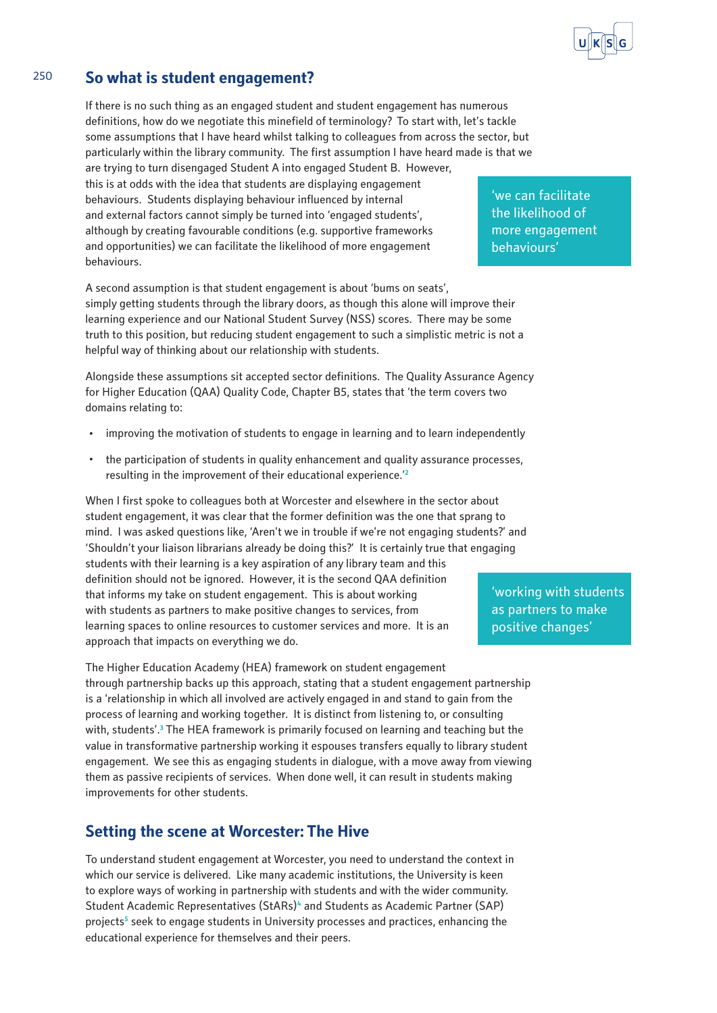

# 250 **So what is student engagement?**

If there is no such thing as an engaged student and student engagement has numerous definitions, how do we negotiate this minefield of terminology? To start with, let's tackle some assumptions that I have heard whilst talking to colleagues from across the sector, but particularly within the library community. The first assumption I have heard made is that we are trying to turn disengaged Student A into engaged Student B. However, this is at odds with the idea that students are displaying engagement behaviours. Students displaying behaviour influenced by internal and external factors cannot simply be turned into 'engaged students', although by creating favourable conditions (e.g. supportive frameworks and opportunities) we can facilitate the likelihood of more engagement behaviours.

A second assumption is that student engagement is about 'bums on seats', simply getting students through the library doors, as though this alone will improve their learning experience and our National Student Survey (NSS) scores. There may be some truth to this position, but reducing student engagement to such a simplistic metric is not a helpful way of thinking about our relationship with students.

Alongside these assumptions sit accepted sector definitions. The Quality Assurance Agency for Higher Education (QAA) Quality Code, Chapter B5, states that 'the term covers two domains relating to:

- · improving the motivation of students to engage in learning and to learn independently
- · the participation of students in quality enhancement and quality assurance processes, resulting in the improvement of their educational experience.'**<sup>2</sup>**

When I first spoke to colleagues both at Worcester and elsewhere in the sector about student engagement, it was clear that the former definition was the one that sprang to mind. I was asked questions like, 'Aren't we in trouble if we're not engaging students?' and 'Shouldn't your liaison librarians already be doing this?' It is certainly true that engaging students with their learning is a key aspiration of any library team and this definition should not be ignored. However, it is the second QAA definition that informs my take on student engagement. This is about working with students as partners to make positive changes to services, from learning spaces to online resources to customer services and more. It is an approach that impacts on everything we do.

The Higher Education Academy (HEA) framework on student engagement through partnership backs up this approach, stating that a student engagement partnership is a 'relationship in which all involved are actively engaged in and stand to gain from the process of learning and working together. It is distinct from listening to, or consulting with, students'.<sup>3</sup> The HEA framework is primarily focused on learning and teaching but the value in transformative partnership working it espouses transfers equally to library student engagement. We see this as engaging students in dialogue, with a move away from viewing them as passive recipients of services. When done well, it can result in students making improvements for other students.

# **Setting the scene at Worcester: The Hive**

To understand student engagement at Worcester, you need to understand the context in which our service is delivered. Like many academic institutions, the University is keen to explore ways of working in partnership with students and with the wider community. Student Academic Representatives (StARs)**<sup>4</sup>** and Students as Academic Partner (SAP) projects<sup>5</sup> seek to engage students in University processes and practices, enhancing the educational experience for themselves and their peers.

'we can facilitate the likelihood of more engagement behaviours'

'working with students as partners to make positive changes'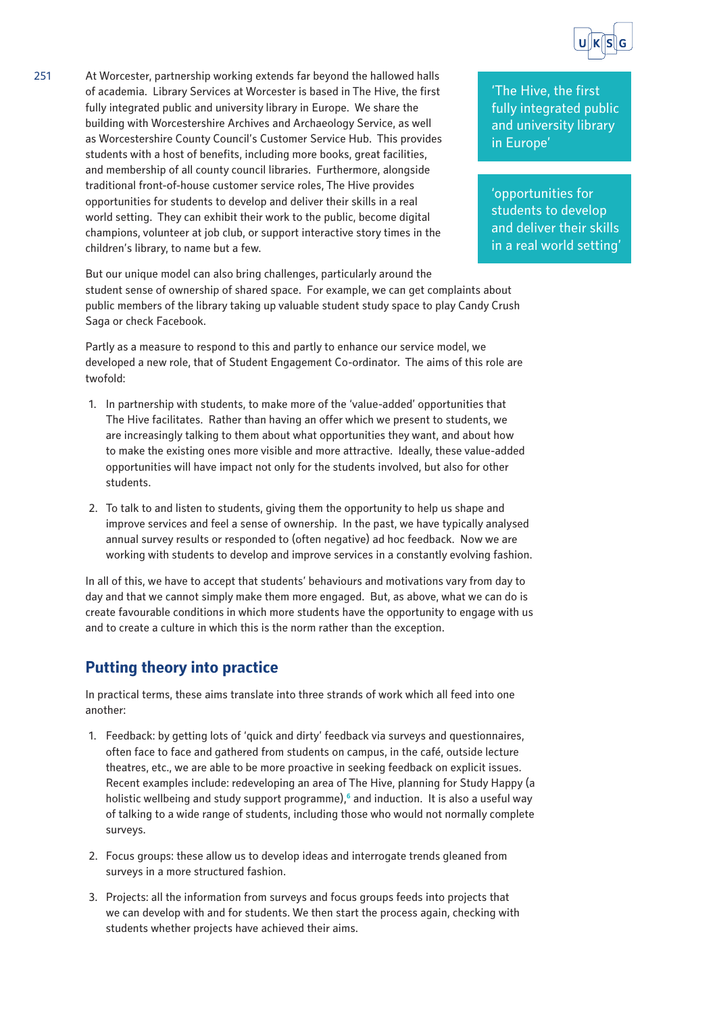

251 At Worcester, partnership working extends far beyond the hallowed halls of academia. Library Services at Worcester is based in The Hive, the first fully integrated public and university library in Europe. We share the building with Worcestershire Archives and Archaeology Service, as well as Worcestershire County Council's Customer Service Hub. This provides students with a host of benefits, including more books, great facilities, and membership of all county council libraries. Furthermore, alongside traditional front-of-house customer service roles, The Hive provides opportunities for students to develop and deliver their skills in a real world setting. They can exhibit their work to the public, become digital champions, volunteer at job club, or support interactive story times in the children's library, to name but a few.

'The Hive, the first fully integrated public and university library in Europe'

'opportunities for students to develop and deliver their skills in a real world setting'

But our unique model can also bring challenges, particularly around the student sense of ownership of shared space. For example, we can get complaints about public members of the library taking up valuable student study space to play Candy Crush Saga or check Facebook.

Partly as a measure to respond to this and partly to enhance our service model, we developed a new role, that of Student Engagement Co-ordinator. The aims of this role are twofold:

- 1. In partnership with students, to make more of the 'value-added' opportunities that The Hive facilitates. Rather than having an offer which we present to students, we are increasingly talking to them about what opportunities they want, and about how to make the existing ones more visible and more attractive. Ideally, these value-added opportunities will have impact not only for the students involved, but also for other students.
- 2. To talk to and listen to students, giving them the opportunity to help us shape and improve services and feel a sense of ownership. In the past, we have typically analysed annual survey results or responded to (often negative) ad hoc feedback. Now we are working with students to develop and improve services in a constantly evolving fashion.

In all of this, we have to accept that students' behaviours and motivations vary from day to day and that we cannot simply make them more engaged. But, as above, what we can do is create favourable conditions in which more students have the opportunity to engage with us and to create a culture in which this is the norm rather than the exception.

# **Putting theory into practice**

In practical terms, these aims translate into three strands of work which all feed into one another:

- 1. Feedback: by getting lots of 'quick and dirty' feedback via surveys and questionnaires, often face to face and gathered from students on campus, in the café, outside lecture theatres, etc., we are able to be more proactive in seeking feedback on explicit issues. Recent examples include: redeveloping an area of The Hive, planning for Study Happy (a holistic wellbeing and study support programme),**<sup>6</sup>** and induction. It is also a useful way of talking to a wide range of students, including those who would not normally complete surveys.
- 2. Focus groups: these allow us to develop ideas and interrogate trends gleaned from surveys in a more structured fashion.
- 3. Projects: all the information from surveys and focus groups feeds into projects that we can develop with and for students. We then start the process again, checking with students whether projects have achieved their aims.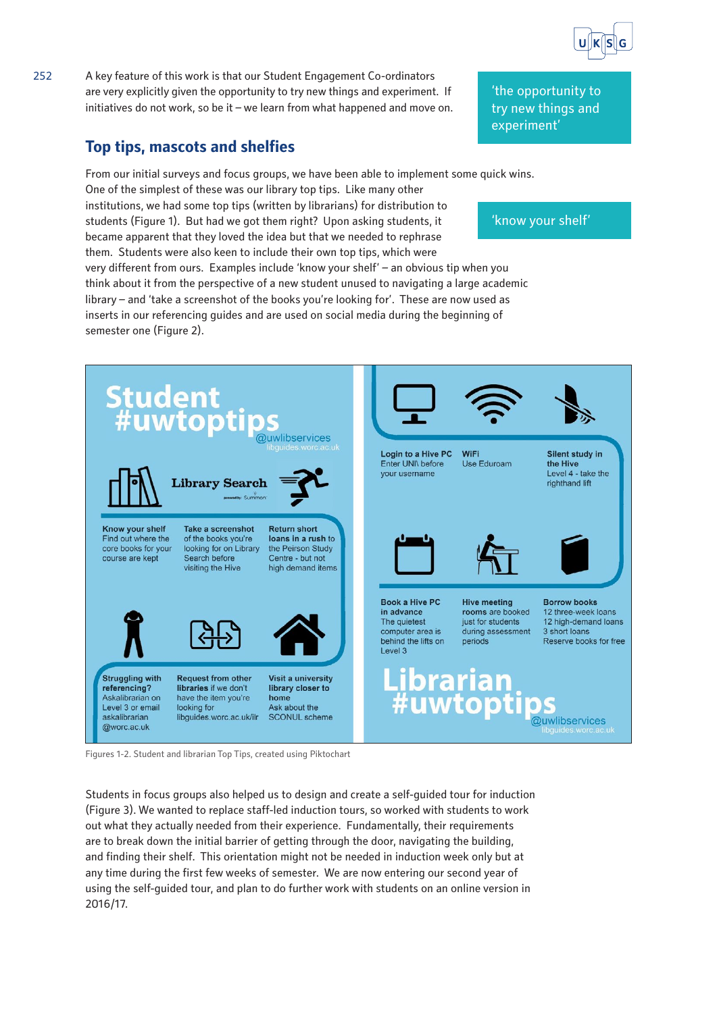

### 252 A key feature of this work is that our Student Engagement Co-ordinators are very explicitly given the opportunity to try new things and experiment. If initiatives do not work, so be it – we learn from what happened and move on.

# **Top tips, mascots and shelfies**

From our initial surveys and focus groups, we have been able to implement some quick wins.

One of the simplest of these was our library top tips. Like many other institutions, we had some top tips (written by librarians) for distribution to students (Figure 1). But had we got them right? Upon asking students, it became apparent that they loved the idea but that we needed to rephrase them. Students were also keen to include their own top tips, which were very different from ours. Examples include 'know your shelf' – an obvious tip when you think about it from the perspective of a new student unused to navigating a large academic library – and 'take a screenshot of the books you're looking for'. These are now used as inserts in our referencing guides and are used on social media during the beginning of semester one (Figure 2).



Figures 1-2. Student and librarian Top Tips, created using Piktochart

Students in focus groups also helped us to design and create a self-guided tour for induction (Figure 3). We wanted to replace staff-led induction tours, so worked with students to work out what they actually needed from their experience. Fundamentally, their requirements are to break down the initial barrier of getting through the door, navigating the building, and finding their shelf. This orientation might not be needed in induction week only but at any time during the first few weeks of semester. We are now entering our second year of using the self-guided tour, and plan to do further work with students on an online version in 2016/17.

'know your shelf'

'the opportunity to try new things and

experiment'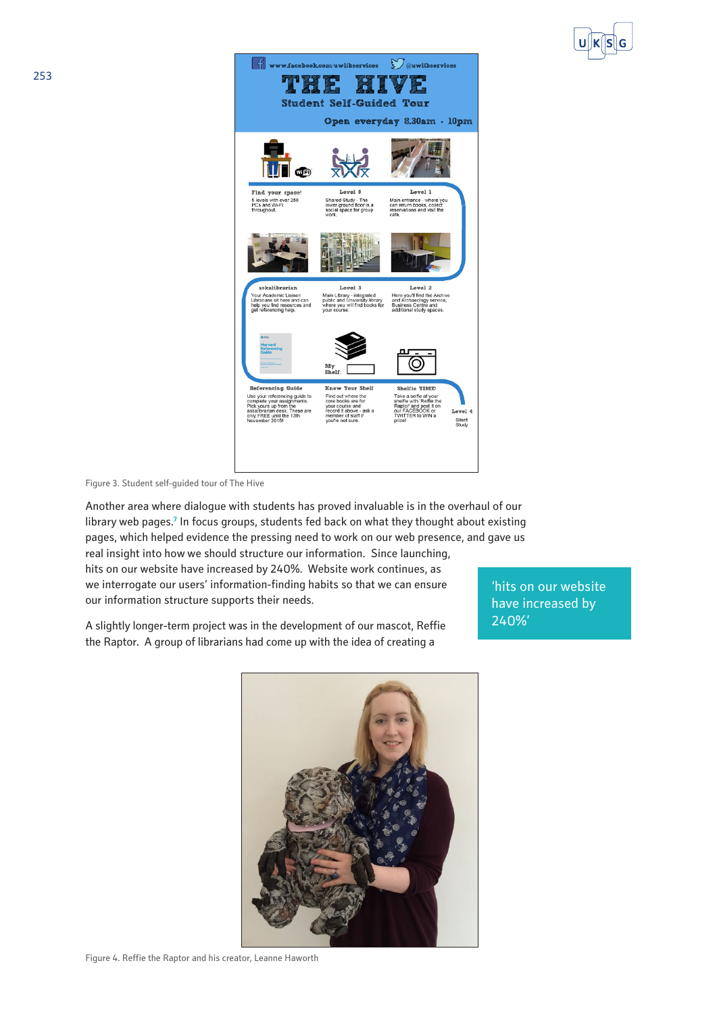



Figure 3. Student self-guided tour of The Hive

Another area where dialogue with students has proved invaluable is in the overhaul of our library web pages.<sup>7</sup> In focus groups, students fed back on what they thought about existing pages, which helped evidence the pressing need to work on our web presence, and gave us real insight into how we should structure our information. Since launching, hits on our website have increased by 240%. Website work continues, as we interrogate our users' information-finding habits so that we can ensure our information structure supports their needs.

A slightly longer-term project was in the development of our mascot, Reffie the Raptor. A group of librarians had come up with the idea of creating a

'hits on our website have increased by 240%'



Figure 4. Reffie the Raptor and his creator, Leanne Haworth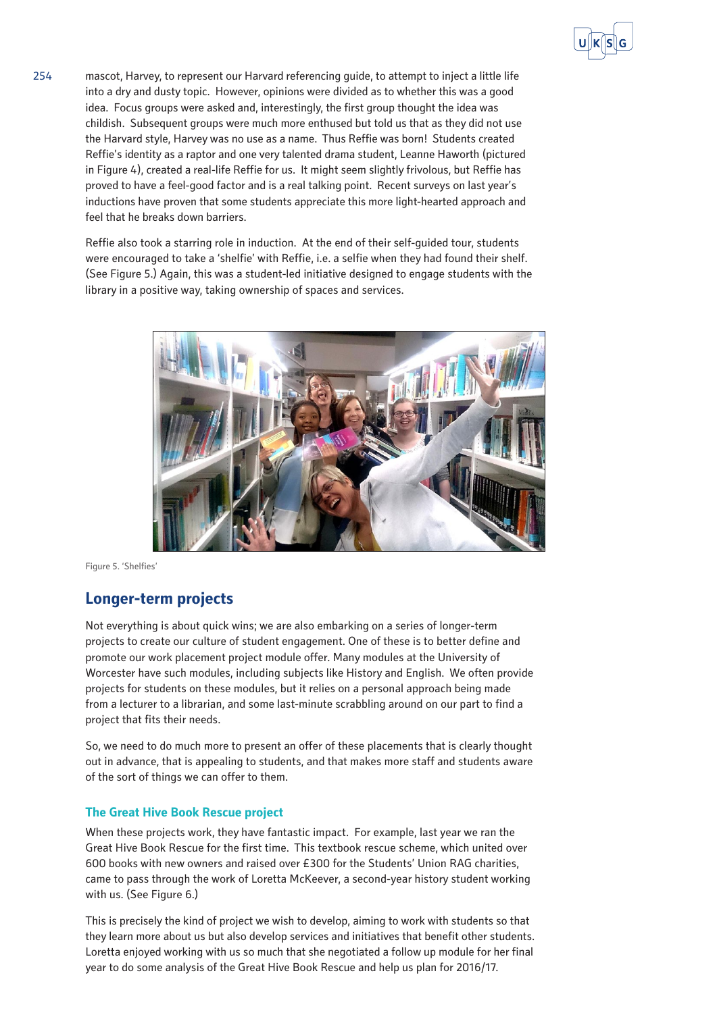

254 mascot, Harvey, to represent our Harvard referencing guide, to attempt to inject a little life into a dry and dusty topic. However, opinions were divided as to whether this was a good idea. Focus groups were asked and, interestingly, the first group thought the idea was childish. Subsequent groups were much more enthused but told us that as they did not use the Harvard style, Harvey was no use as a name. Thus Reffie was born! Students created Reffie's identity as a raptor and one very talented drama student, Leanne Haworth (pictured in Figure 4), created a real-life Reffie for us. It might seem slightly frivolous, but Reffie has proved to have a feel-good factor and is a real talking point. Recent surveys on last year's inductions have proven that some students appreciate this more light-hearted approach and feel that he breaks down barriers.

> Reffie also took a starring role in induction. At the end of their self-guided tour, students were encouraged to take a 'shelfie' with Reffie, i.e. a selfie when they had found their shelf. (See Figure 5.) Again, this was a student-led initiative designed to engage students with the library in a positive way, taking ownership of spaces and services.



Figure 5. 'Shelfies'

## **Longer-term projects**

Not everything is about quick wins; we are also embarking on a series of longer-term projects to create our culture of student engagement. One of these is to better define and promote our work placement project module offer. Many modules at the University of Worcester have such modules, including subjects like History and English. We often provide projects for students on these modules, but it relies on a personal approach being made from a lecturer to a librarian, and some last-minute scrabbling around on our part to find a project that fits their needs.

So, we need to do much more to present an offer of these placements that is clearly thought out in advance, that is appealing to students, and that makes more staff and students aware of the sort of things we can offer to them.

#### **The Great Hive Book Rescue project**

When these projects work, they have fantastic impact. For example, last year we ran the Great Hive Book Rescue for the first time. This textbook rescue scheme, which united over 600 books with new owners and raised over £300 for the Students' Union RAG charities, came to pass through the work of Loretta McKeever, a second-year history student working with us. (See Figure 6.)

This is precisely the kind of project we wish to develop, aiming to work with students so that they learn more about us but also develop services and initiatives that benefit other students. Loretta enjoyed working with us so much that she negotiated a follow up module for her final year to do some analysis of the Great Hive Book Rescue and help us plan for 2016/17.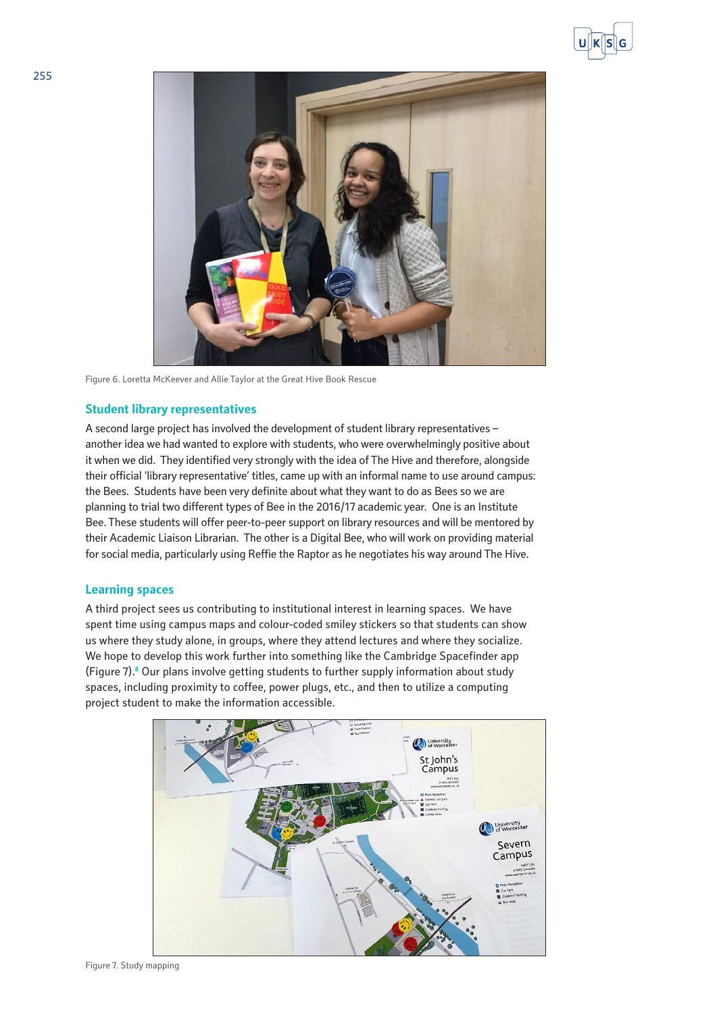



Figure 6. Loretta McKeever and Allie Taylor at the Great Hive Book Rescue

#### **Student library representatives**

A second large project has involved the development of student library representatives – another idea we had wanted to explore with students, who were overwhelmingly positive about it when we did. They identified very strongly with the idea of The Hive and therefore, alongside their official 'library representative' titles, came up with an informal name to use around campus: the Bees. Students have been very definite about what they want to do as Bees so we are planning to trial two different types of Bee in the 2016/17 academic year. One is an Institute Bee. These students will offer peer-to-peer support on library resources and will be mentored by their Academic Liaison Librarian. The other is a Digital Bee, who will work on providing material for social media, particularly using Reffie the Raptor as he negotiates his way around The Hive.

#### **Learning spaces**

A third project sees us contributing to institutional interest in learning spaces. We have spent time using campus maps and colour-coded smiley stickers so that students can show us where they study alone, in groups, where they attend lectures and where they socialize. We hope to develop this work further into something like the Cambridge Spacefinder app (Figure 7).**<sup>8</sup>** Our plans involve getting students to further supply information about study spaces, including proximity to coffee, power plugs, etc., and then to utilize a computing project student to make the information accessible.

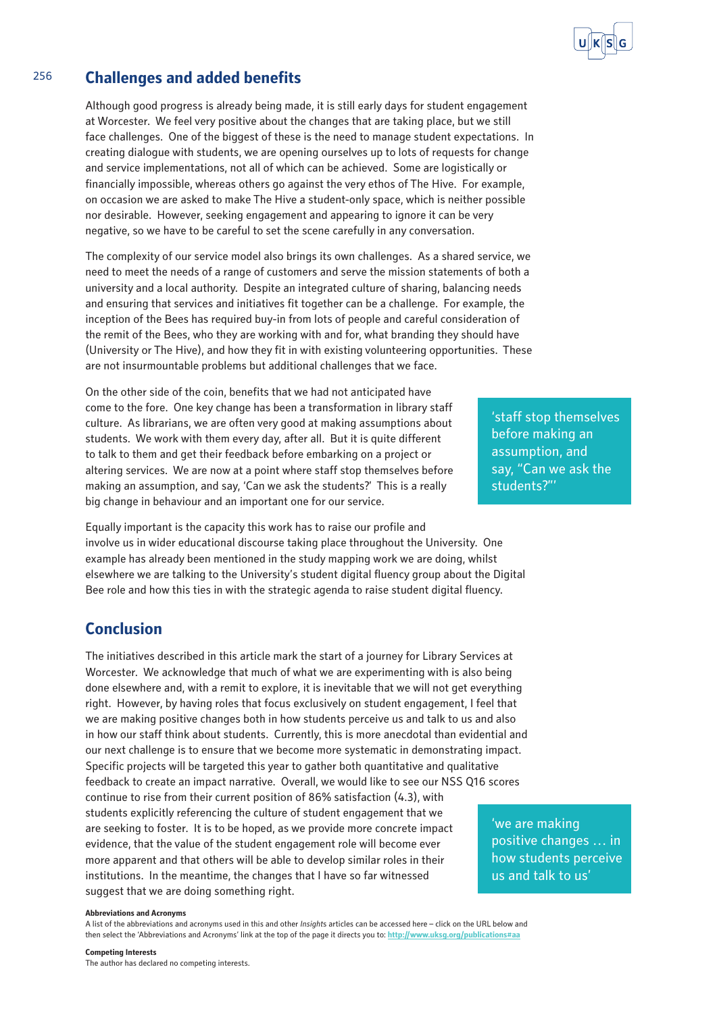# 256 **Challenges and added benefits**

Although good progress is already being made, it is still early days for student engagement at Worcester. We feel very positive about the changes that are taking place, but we still face challenges. One of the biggest of these is the need to manage student expectations. In creating dialogue with students, we are opening ourselves up to lots of requests for change and service implementations, not all of which can be achieved. Some are logistically or financially impossible, whereas others go against the very ethos of The Hive. For example, on occasion we are asked to make The Hive a student-only space, which is neither possible nor desirable. However, seeking engagement and appearing to ignore it can be very negative, so we have to be careful to set the scene carefully in any conversation.

The complexity of our service model also brings its own challenges. As a shared service, we need to meet the needs of a range of customers and serve the mission statements of both a university and a local authority. Despite an integrated culture of sharing, balancing needs and ensuring that services and initiatives fit together can be a challenge. For example, the inception of the Bees has required buy-in from lots of people and careful consideration of the remit of the Bees, who they are working with and for, what branding they should have (University or The Hive), and how they fit in with existing volunteering opportunities. These are not insurmountable problems but additional challenges that we face.

On the other side of the coin, benefits that we had not anticipated have come to the fore. One key change has been a transformation in library staff culture. As librarians, we are often very good at making assumptions about students. We work with them every day, after all. But it is quite different to talk to them and get their feedback before embarking on a project or altering services. We are now at a point where staff stop themselves before making an assumption, and say, 'Can we ask the students?' This is a really big change in behaviour and an important one for our service.

Equally important is the capacity this work has to raise our profile and involve us in wider educational discourse taking place throughout the University. One example has already been mentioned in the study mapping work we are doing, whilst elsewhere we are talking to the University's student digital fluency group about the Digital Bee role and how this ties in with the strategic agenda to raise student digital fluency.

# **Conclusion**

The initiatives described in this article mark the start of a journey for Library Services at Worcester. We acknowledge that much of what we are experimenting with is also being done elsewhere and, with a remit to explore, it is inevitable that we will not get everything right. However, by having roles that focus exclusively on student engagement, I feel that we are making positive changes both in how students perceive us and talk to us and also in how our staff think about students. Currently, this is more anecdotal than evidential and our next challenge is to ensure that we become more systematic in demonstrating impact. Specific projects will be targeted this year to gather both quantitative and qualitative feedback to create an impact narrative. Overall, we would like to see our NSS Q16 scores continue to rise from their current position of 86% satisfaction (4.3), with students explicitly referencing the culture of student engagement that we are seeking to foster. It is to be hoped, as we provide more concrete impact evidence, that the value of the student engagement role will become ever more apparent and that others will be able to develop similar roles in their institutions. In the meantime, the changes that I have so far witnessed suggest that we are doing something right.

#### **Abbreviations and Acronyms**

A list of the abbreviations and acronyms used in this and other *Insight*s articles can be accessed here – click on the URL below and then select the 'Abbreviations and Acronyms' link at the top of the page it directs you to: **<http://www.uksg.org/publications#aa>**

'staff stop themselves before making an assumption, and say, "Can we ask the students?"'

'we are making positive changes … in how students perceive us and talk to us'